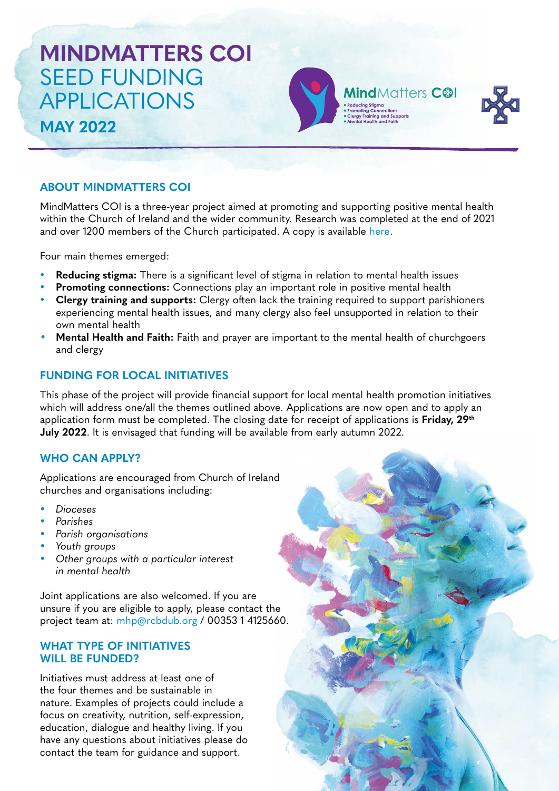# **MINDMATTERS COI** SEED FUNDING APPLICATIONS **MAY 2022**



**Mind**Matters C<sup>®1</sup>

## **ABOUT MINDMATTERS COI**

MindMatters COI is a three-year project aimed at promoting and supporting positive mental health within the Church of Ireland and the wider community. Research was completed at the end of 2021 and over 1200 members of the Church participated. A copy is available [here](https://mindmatters.ireland.anglican.org/wp-content/uploads/2021/12/MindMatters-COI_Summary-Report.pdf).

Four main themes emerged:

- **Reducing stigma:** There is a significant level of stigma in relation to mental health issues
- **Promoting connections:** Connections play an important role in positive mental health
- **Clergy training and supports:** Clergy often lack the training required to support parishioners experiencing mental health issues, and many clergy also feel unsupported in relation to their own mental health
- **Mental Health and Faith:** Faith and prayer are important to the mental health of churchgoers and clergy

## **FUNDING FOR LOCAL INITIATIVES**

This phase of the project will provide financial support for local mental health promotion initiatives which will address one/all the themes outlined above. Applications are now open and to apply an application form must be completed. The closing date for receipt of applications is **Friday, 29th July 2022**. It is envisaged that funding will be available from early autumn 2022.

## **WHO CAN APPLY?**

Applications are encouraged from Church of Ireland churches and organisations including:

- *• Dioceses*
- *• Parishes*
- *• Parish organisations*
- *• Youth groups*
- *• Other groups with a particular interest in mental health*

Joint applications are also welcomed. If you are unsure if you are eligible to apply, please contact the project team at: [mhp@rcbdub.org](mailto:mhp@rcbdub.org) / 00353 1 4125660.

### **WHAT TYPE OF INITIATIVES WILL BE FUNDED?**

Initiatives must address at least one of the four themes and be sustainable in nature. Examples of projects could include a focus on creativity, nutrition, self-expression, education, dialogue and healthy living. If you have any questions about initiatives please do contact the team for guidance and support.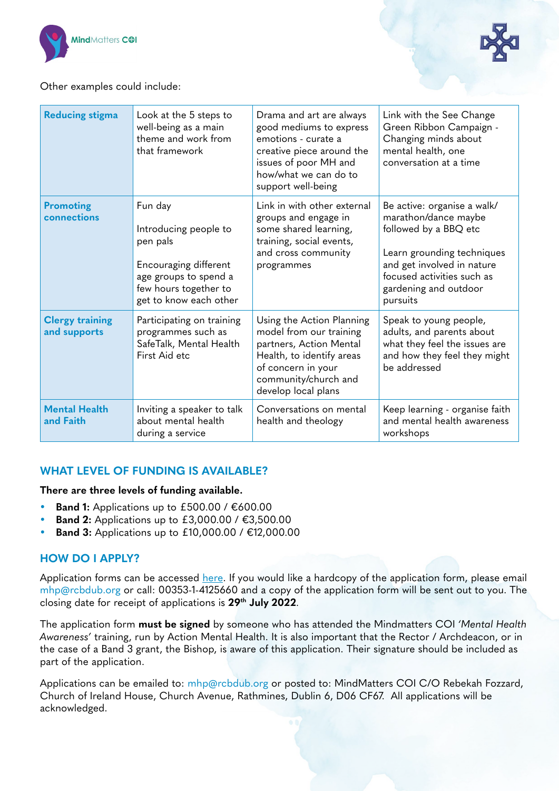



Other examples could include:

| <b>Reducing stigma</b>                 | Look at the 5 steps to<br>well-being as a main<br>theme and work from<br>that framework                                                           | Drama and art are always<br>good mediums to express<br>emotions - curate a<br>creative piece around the<br>issues of poor MH and<br>how/what we can do to<br>support well-being   | Link with the See Change<br>Green Ribbon Campaign -<br>Changing minds about<br>mental health, one<br>conversation at a time                                                                                 |
|----------------------------------------|---------------------------------------------------------------------------------------------------------------------------------------------------|-----------------------------------------------------------------------------------------------------------------------------------------------------------------------------------|-------------------------------------------------------------------------------------------------------------------------------------------------------------------------------------------------------------|
| <b>Promoting</b><br>connections        | Fun day<br>Introducing people to<br>pen pals<br>Encouraging different<br>age groups to spend a<br>few hours together to<br>get to know each other | Link in with other external<br>groups and engage in<br>some shared learning,<br>training, social events,<br>and cross community<br>programmes                                     | Be active: organise a walk/<br>marathon/dance maybe<br>followed by a BBQ etc<br>Learn grounding techniques<br>and get involved in nature<br>focused activities such as<br>gardening and outdoor<br>pursuits |
| <b>Clergy training</b><br>and supports | Participating on training<br>programmes such as<br>SafeTalk, Mental Health<br>First Aid etc                                                       | Using the Action Planning<br>model from our training<br>partners, Action Mental<br>Health, to identify areas<br>of concern in your<br>community/church and<br>develop local plans | Speak to young people,<br>adults, and parents about<br>what they feel the issues are<br>and how they feel they might<br>be addressed                                                                        |
| <b>Mental Health</b><br>and Faith      | Inviting a speaker to talk<br>about mental health<br>during a service                                                                             | Conversations on mental<br>health and theology                                                                                                                                    | Keep learning - organise faith<br>and mental health awareness<br>workshops                                                                                                                                  |

## **WHAT LEVEL OF FUNDING IS AVAILABLE?**

#### **There are three levels of funding available.**

- *•* **Band 1:** Applications up to £500.00 / €600.00
- **Band 2:** Applications up to £3,000.00 / €3,500.00
- *•* **Band 3:** Applications up to £10,000.00 / €12,000.00

## **HOW DO I APPLY?**

Application forms can be accessed [here.](https://mindmatters.ireland.anglican.org/) If you would like a hardcopy of the application form, please email [mhp@rcbdub.org](mailto:mhp@rcbdub.org) or call: 00353-1-4125660 and a copy of the application form will be sent out to you. The closing date for receipt of applications is **29th July 2022**.

The application form **must be signed** by someone who has attended the Mindmatters COI *'Mental Health Awareness'* training, run by Action Mental Health. It is also important that the Rector / Archdeacon, or in the case of a Band 3 grant, the Bishop, is aware of this application. Their signature should be included as part of the application.

Applications can be emailed to: [mhp@rcbdub.org](mailto:mhp@rcbdub.org) or posted to: MindMatters COI C/O Rebekah Fozzard, Church of Ireland House, Church Avenue, Rathmines, Dublin 6, D06 CF67. All applications will be acknowledged.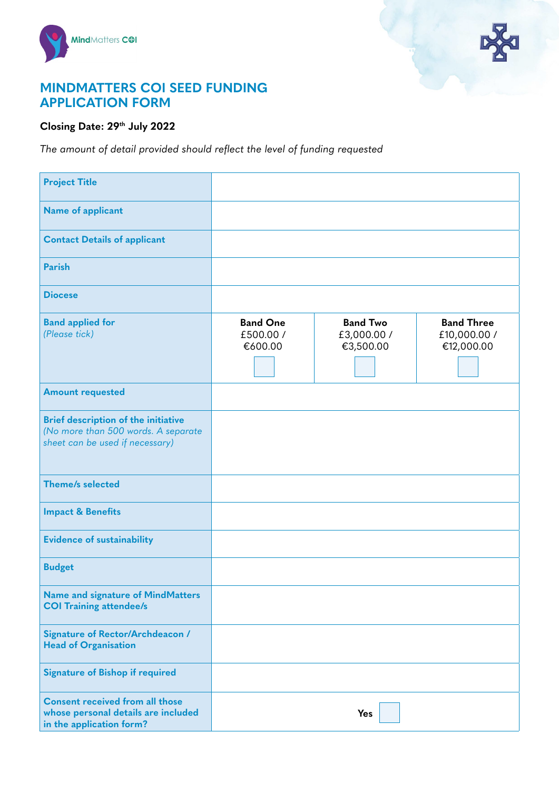



## **MINDMATTERS COI SEED FUNDING APPLICATION FORM**

## **Closing Date: 29th July 2022**

*The amount of detail provided should reflect the level of funding requested*

| <b>Project Title</b>                                                                                                 |                                         |                                             |                                                 |
|----------------------------------------------------------------------------------------------------------------------|-----------------------------------------|---------------------------------------------|-------------------------------------------------|
| <b>Name of applicant</b>                                                                                             |                                         |                                             |                                                 |
| <b>Contact Details of applicant</b>                                                                                  |                                         |                                             |                                                 |
| <b>Parish</b>                                                                                                        |                                         |                                             |                                                 |
| <b>Diocese</b>                                                                                                       |                                         |                                             |                                                 |
| <b>Band applied for</b><br>(Please tick)                                                                             | <b>Band One</b><br>£500.00 /<br>€600.00 | <b>Band Two</b><br>£3,000.00 /<br>€3,500.00 | <b>Band Three</b><br>£10,000.00 /<br>€12,000.00 |
| <b>Amount requested</b>                                                                                              |                                         |                                             |                                                 |
| <b>Brief description of the initiative</b><br>(No more than 500 words. A separate<br>sheet can be used if necessary) |                                         |                                             |                                                 |
| Theme/s selected                                                                                                     |                                         |                                             |                                                 |
| <b>Impact &amp; Benefits</b>                                                                                         |                                         |                                             |                                                 |
| <b>Evidence of sustainability</b>                                                                                    |                                         |                                             |                                                 |
| <b>Budget</b>                                                                                                        |                                         |                                             |                                                 |
| <b>Name and signature of MindMatters</b><br><b>COI Training attendee/s</b>                                           |                                         |                                             |                                                 |
| Signature of Rector/Archdeacon /<br><b>Head of Organisation</b>                                                      |                                         |                                             |                                                 |
| <b>Signature of Bishop if required</b>                                                                               |                                         |                                             |                                                 |
| <b>Consent received from all those</b><br>whose personal details are included<br>in the application form?            |                                         | Yes                                         |                                                 |